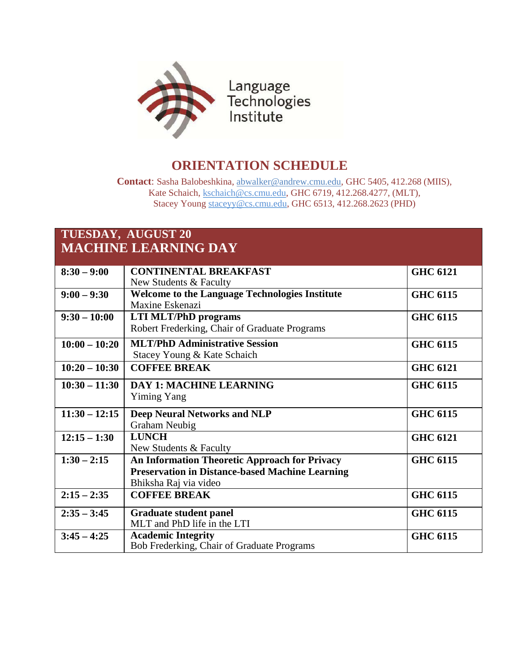

## **ORIENTATION SCHEDULE**

**Contact**: Sasha Balobeshkina, [abwalker@andrew.cmu.edu, G](mailto:abwalker@andrew.cmu.edu)HC 5405, 412.268 (MIIS), Kate Schaich, [kschaich@cs.cmu.edu, G](mailto:kschaich@cs.cmu.edu)HC 6719, 412.268.4277, (MLT), Stacey Young [staceyy@cs.cmu.edu, G](mailto:staceyy@cs.cmu.edu)HC 6513, 412.268.2623 (PHD)

## **TUESDAY, AUGUST 20 MACHINE LEARNING DAY**

| $8:30 - 9:00$   | <b>CONTINENTAL BREAKFAST</b>                           | <b>GHC 6121</b> |
|-----------------|--------------------------------------------------------|-----------------|
|                 | New Students & Faculty                                 |                 |
| $9:00 - 9:30$   | <b>Welcome to the Language Technologies Institute</b>  | <b>GHC 6115</b> |
|                 | Maxine Eskenazi                                        |                 |
| $9:30 - 10:00$  | <b>LTI MLT/PhD programs</b>                            | <b>GHC 6115</b> |
|                 | Robert Frederking, Chair of Graduate Programs          |                 |
| $10:00 - 10:20$ | <b>MLT/PhD Administrative Session</b>                  | <b>GHC 6115</b> |
|                 | Stacey Young & Kate Schaich                            |                 |
| $10:20 - 10:30$ | <b>COFFEE BREAK</b>                                    | <b>GHC 6121</b> |
| $10:30 - 11:30$ | <b>DAY 1: MACHINE LEARNING</b>                         | <b>GHC 6115</b> |
|                 | <b>Yiming Yang</b>                                     |                 |
| $11:30 - 12:15$ | <b>Deep Neural Networks and NLP</b>                    | <b>GHC 6115</b> |
|                 | Graham Neubig                                          |                 |
| $12:15 - 1:30$  | <b>LUNCH</b>                                           | <b>GHC 6121</b> |
|                 | New Students & Faculty                                 |                 |
| $1:30 - 2:15$   | <b>An Information Theoretic Approach for Privacy</b>   | <b>GHC 6115</b> |
|                 | <b>Preservation in Distance-based Machine Learning</b> |                 |
|                 | Bhiksha Raj via video                                  |                 |
| $2:15 - 2:35$   | <b>COFFEE BREAK</b>                                    | <b>GHC 6115</b> |
|                 |                                                        |                 |
| $2:35 - 3:45$   | <b>Graduate student panel</b>                          | <b>GHC 6115</b> |
|                 | MLT and PhD life in the LTI                            |                 |
| $3:45 - 4:25$   | <b>Academic Integrity</b>                              | <b>GHC 6115</b> |
|                 | Bob Frederking, Chair of Graduate Programs             |                 |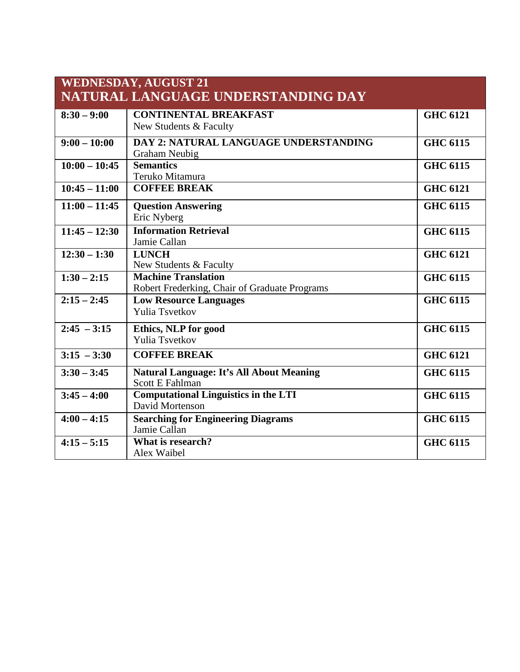| <b>WEDNESDAY, AUGUST 21</b> |                                                 |                 |  |  |  |
|-----------------------------|-------------------------------------------------|-----------------|--|--|--|
|                             | NATURAL LANGUAGE UNDERSTANDING DAY              |                 |  |  |  |
| $8:30 - 9:00$               | <b>CONTINENTAL BREAKFAST</b>                    | <b>GHC 6121</b> |  |  |  |
|                             | New Students & Faculty                          |                 |  |  |  |
| $9:00 - 10:00$              | DAY 2: NATURAL LANGUAGE UNDERSTANDING           | <b>GHC 6115</b> |  |  |  |
|                             | Graham Neubig                                   |                 |  |  |  |
| $10:00 - 10:45$             | <b>Semantics</b>                                | <b>GHC 6115</b> |  |  |  |
|                             | Teruko Mitamura                                 |                 |  |  |  |
| $10:45 - 11:00$             | <b>COFFEE BREAK</b>                             | <b>GHC 6121</b> |  |  |  |
| $11:00 - 11:45$             | <b>Question Answering</b>                       | <b>GHC 6115</b> |  |  |  |
|                             | Eric Nyberg                                     |                 |  |  |  |
| $11:45 - 12:30$             | <b>Information Retrieval</b>                    | <b>GHC 6115</b> |  |  |  |
|                             | Jamie Callan                                    |                 |  |  |  |
| $\overline{12:30-1:30}$     | <b>LUNCH</b>                                    | <b>GHC 6121</b> |  |  |  |
|                             | New Students & Faculty                          |                 |  |  |  |
| $1:30 - 2:15$               | <b>Machine Translation</b>                      | <b>GHC 6115</b> |  |  |  |
|                             | Robert Frederking, Chair of Graduate Programs   |                 |  |  |  |
| $2:15 - 2:45$               | <b>Low Resource Languages</b>                   | <b>GHC 6115</b> |  |  |  |
|                             | <b>Yulia Tsvetkov</b>                           |                 |  |  |  |
| $2:45 - 3:15$               | Ethics, NLP for good                            | <b>GHC 6115</b> |  |  |  |
|                             | <b>Yulia Tsvetkov</b>                           |                 |  |  |  |
| $3:15 - 3:30$               | <b>COFFEE BREAK</b>                             | <b>GHC 6121</b> |  |  |  |
| $3:30 - 3:45$               | <b>Natural Language: It's All About Meaning</b> | <b>GHC 6115</b> |  |  |  |
|                             | <b>Scott E Fahlman</b>                          |                 |  |  |  |
| $3:45 - 4:00$               | <b>Computational Linguistics in the LTI</b>     | <b>GHC 6115</b> |  |  |  |
|                             | David Mortenson                                 |                 |  |  |  |
| $4:00 - 4:15$               | <b>Searching for Engineering Diagrams</b>       | <b>GHC 6115</b> |  |  |  |
|                             | Jamie Callan                                    |                 |  |  |  |
| $4:15 - 5:15$               | What is research?                               | <b>GHC 6115</b> |  |  |  |
|                             | Alex Waibel                                     |                 |  |  |  |